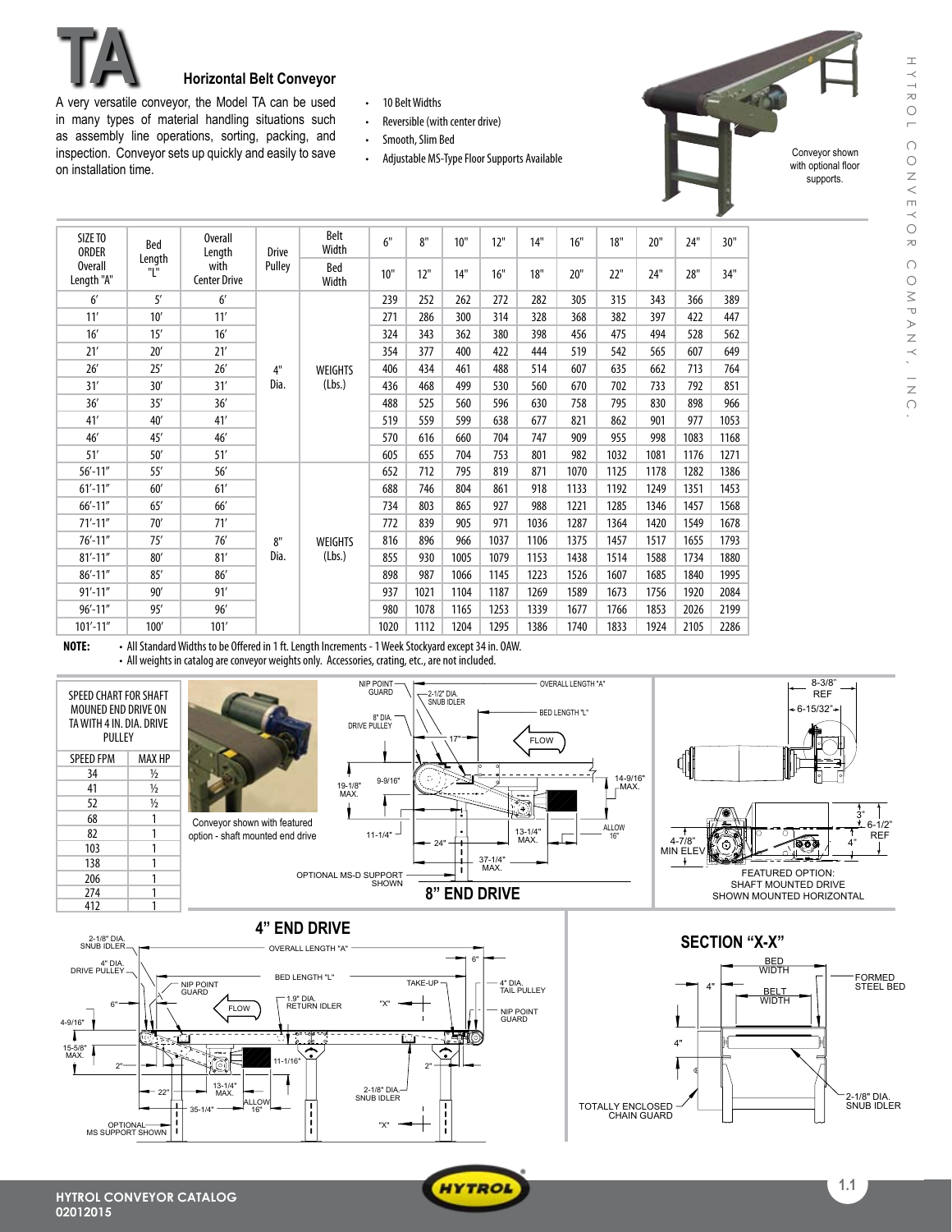

## **TA Horizontal Belt Conveyor**

A very versatile conveyor, the Model TA can be used in many types of material handling situations such as assembly line operations, sorting, packing, and inspection. Conveyor sets up quickly and easily to save on installation time.

- • 10 BeltWidths
- Reversible (with center drive)
- Smooth, Slim Bed
- Adjustable MS-Type Floor Supports Available

Conveyor shown with optional floor supports.

| SIZE TO<br><b>ORDER</b>                       | Bed                         | <b>Overall</b><br>Length | <b>Drive</b> | Belt<br>Width            | 6"   | 8"   | 10"  | 12"  | 14"  | 16"  | 18"  | 20"  | 24"  | 30"  |
|-----------------------------------------------|-----------------------------|--------------------------|--------------|--------------------------|------|------|------|------|------|------|------|------|------|------|
| Length<br>"L"<br><b>Overall</b><br>Length "A" | with<br><b>Center Drive</b> | Pulley                   | Bed<br>Width | 10"                      | 12"  | 14"  | 16"  | 18"  | 20"  | 22"  | 24"  | 28"  | 34"  |      |
| 6'                                            | 5'                          | 6'                       |              | <b>WEIGHTS</b><br>(Lbs.) | 239  | 252  | 262  | 272  | 282  | 305  | 315  | 343  | 366  | 389  |
| 11'                                           | 10'                         | 11'                      |              |                          | 271  | 286  | 300  | 314  | 328  | 368  | 382  | 397  | 422  | 447  |
| 16'                                           | 15'                         | 16'                      |              |                          | 324  | 343  | 362  | 380  | 398  | 456  | 475  | 494  | 528  | 562  |
| 21'                                           | 20'                         | 21'                      |              |                          | 354  | 377  | 400  | 422  | 444  | 519  | 542  | 565  | 607  | 649  |
| 26'                                           | 25'                         | 26'                      | 4"           |                          | 406  | 434  | 461  | 488  | 514  | 607  | 635  | 662  | 713  | 764  |
| 31'                                           | 30'                         | 31'                      | Dia.         |                          | 436  | 468  | 499  | 530  | 560  | 670  | 702  | 733  | 792  | 851  |
| 36'                                           | 35'                         | 36'                      |              |                          | 488  | 525  | 560  | 596  | 630  | 758  | 795  | 830  | 898  | 966  |
| 41'                                           | 40'                         | 41'                      |              |                          | 519  | 559  | 599  | 638  | 677  | 821  | 862  | 901  | 977  | 1053 |
| 46'                                           | 45'                         | 46'                      |              |                          | 570  | 616  | 660  | 704  | 747  | 909  | 955  | 998  | 1083 | 1168 |
| 51'                                           | 50'                         | 51'                      |              |                          | 605  | 655  | 704  | 753  | 801  | 982  | 1032 | 1081 | 1176 | 1271 |
| $56' - 11''$                                  | 55'                         | 56'                      | 8"<br>Dia.   | <b>WEIGHTS</b><br>(Lbs.) | 652  | 712  | 795  | 819  | 871  | 1070 | 1125 | 1178 | 1282 | 1386 |
| $61' - 11''$                                  | 60'                         | 61'                      |              |                          | 688  | 746  | 804  | 861  | 918  | 1133 | 1192 | 1249 | 1351 | 1453 |
| $66' - 11''$                                  | 65'                         | 66'                      |              |                          | 734  | 803  | 865  | 927  | 988  | 1221 | 1285 | 1346 | 1457 | 1568 |
| $71' - 11''$                                  | 70'                         | 71'                      |              |                          | 772  | 839  | 905  | 971  | 1036 | 1287 | 1364 | 1420 | 1549 | 1678 |
| $76' - 11''$                                  | 75'                         | 76'                      |              |                          | 816  | 896  | 966  | 1037 | 1106 | 1375 | 1457 | 1517 | 1655 | 1793 |
| $81' - 11''$                                  | 80'                         | 81'                      |              |                          | 855  | 930  | 1005 | 1079 | 1153 | 1438 | 1514 | 1588 | 1734 | 1880 |
| $86' - 11''$                                  | 85'                         | 86'                      |              |                          | 898  | 987  | 1066 | 1145 | 1223 | 1526 | 1607 | 1685 | 1840 | 1995 |
| $91' - 11''$                                  | 90'                         | 91'                      |              |                          | 937  | 1021 | 1104 | 1187 | 1269 | 1589 | 1673 | 1756 | 1920 | 2084 |
| $96' - 11''$                                  | 95'                         | 96'                      |              |                          | 980  | 1078 | 1165 | 1253 | 1339 | 1677 | 1766 | 1853 | 2026 | 2199 |
| $101' - 11''$                                 | 100'                        | 101'                     |              |                          | 1020 | 1112 | 1204 | 1295 | 1386 | 1740 | 1833 | 1924 | 2105 | 2286 |

**NOTE:** . All Standard Widths to be Offered in 1 ft. Length Increments - 1 Week Stockyard except 34 in. OAW. • All weights in catalog are conveyor weights only. Accessories, crating, etc., are not included.





22"

35-1/4" ——— ALLOW 16"

13-1/4"

 $-1/16$ 

 $\overline{MAX}$ .  $\begin{array}{|c|c|c|c|c|}\n\hline\n\text{MAX} & \text{if } & \text{if } & \text{if } & \text{if } & \text{if } & \text{if } & \text{if } & \text{if } & \text{if } & \text{if } & \text{if } & \text{if } & \text{if } & \text{if } & \text{if } & \text{if } & \text{if } & \text{if } & \text{if } & \text{if } & \text{if } & \text{if } & \text{if } & \text{if } & \text{if } & \text{if } & \text{if } & \text{if } & \text{if } & \text{if } & \text$ 

 $\frac{1}{1}$ 

. J.

15-5/8" MAX.

Í

Г

2"

OPTIONAL MS SUPPORT SHOWN



2"

"X"